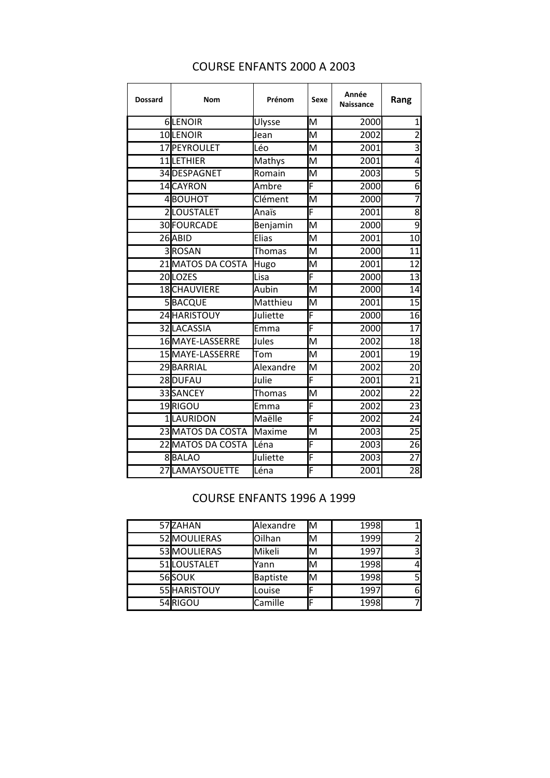| Dossard | <b>Nom</b>        | Prénom        | Sexe                    | Année<br><b>Naissance</b> | Rang            |
|---------|-------------------|---------------|-------------------------|---------------------------|-----------------|
|         | 6LENOIR           | Ulysse        | M                       | 2000                      |                 |
|         | 10LENOIR          | Jean          | M                       | 2002                      | $\overline{2}$  |
|         | 17 PEYROULET      | Léo           | M                       | 2001                      | $\overline{3}$  |
|         | 11LETHIER         | Mathys        | M                       | 2001                      | 4               |
|         | 34 DESPAGNET      | Romain        | M                       | 2003                      | 5               |
|         | 14 CAYRON         | Ambre         | F                       | 2000                      | $\overline{6}$  |
|         | 4BOUHOT           | Clément       | M                       | 2000                      | 7               |
|         | 2LOUSTALET        | Anaïs         | F                       | 2001                      | $\overline{8}$  |
|         | 30 FOURCADE       | Benjamin      | M                       | 2000                      | $\overline{9}$  |
|         | 26 ABID           | Elias         | M                       | 2001                      | 10              |
|         | 3ROSAN            | Thomas        | $\overline{\mathsf{M}}$ | 2000                      | 11              |
|         | 21 MATOS DA COSTA | Hugo          | M                       | 2001                      | 12              |
|         | 20LOZES           | Lisa          | F                       | 2000                      | 13              |
|         | 18CHAUVIERE       | Aubin         | M                       | 2000                      | 14              |
|         | 5BACQUE           | Matthieu      | $\overline{M}$          | 2001                      | 15              |
|         | 24 HARISTOUY      | Juliette      | F                       | 2000                      | 16              |
|         | 32LACASSIA        | Emma          | F                       | 2000                      | 17              |
|         | 16MAYE-LASSERRE   | Jules         | $\overline{\mathsf{M}}$ | 2002                      | 18              |
|         | 15MAYE-LASSERRE   | Tom           | M                       | 2001                      | 19              |
|         | 29BARRIAL         | Alexandre     | M                       | 2002                      | 20              |
|         | 28DUFAU           | Julie         | F                       | 2001                      | 21              |
|         | 33SANCEY          | <b>Thomas</b> | M                       | 2002                      | $\overline{22}$ |
|         | 19RIGOU           | Emma          | F                       | 2002                      | 23              |
|         | 1LAURIDON         | Maëlle        | F                       | 2002                      | 24              |
|         | 23 MATOS DA COSTA | <b>Maxime</b> | M                       | 2003                      | 25              |
|         | 22 MATOS DA COSTA | Léna          | F                       | 2003                      | 26              |
|         | 8BALAO            | Juliette      | $\overline{\mathsf{F}}$ | 2003                      | 27              |
|         | 27LAMAYSOUETTE    | Léna          | F                       | 2001                      | 28              |

## COURSE ENFANTS 2000 A 2003

## COURSE ENFANTS 1996 A 1999

| 57ZAHAN      | Alexandre | Iм | 1998 |   |
|--------------|-----------|----|------|---|
| 52 MOULIERAS | Oilhan    | M  | 1999 |   |
| 53 MOULIERAS | Mikeli    | M  | 1997 |   |
| 51 LOUSTALET | Yann      | м  | 1998 |   |
| 56SOUK       | Baptiste  | M  | 1998 |   |
| 55 HARISTOUY | Louise    |    | 1997 | 6 |
| 54RIGOU      | Camille   |    | 1998 |   |